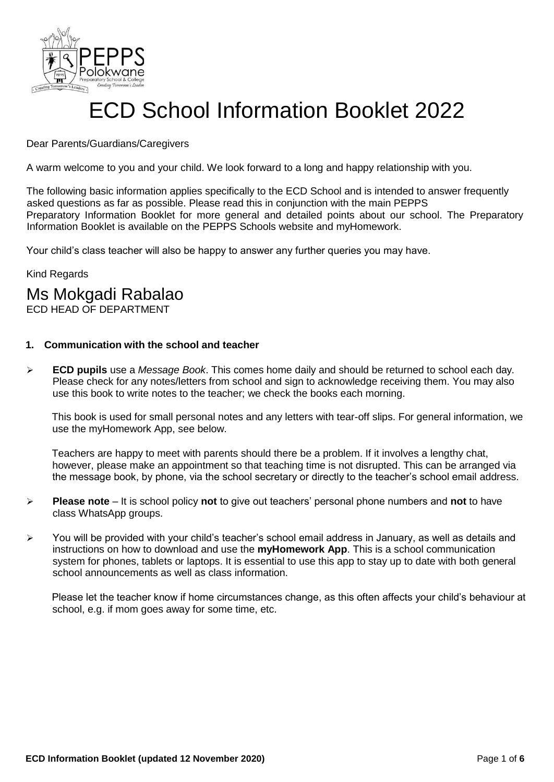

# ECD School Information Booklet 2022

#### Dear Parents/Guardians/Caregivers

A warm welcome to you and your child. We look forward to a long and happy relationship with you.

The following basic information applies specifically to the ECD School and is intended to answer frequently asked questions as far as possible. Please read this in conjunction with the main PEPPS Preparatory Information Booklet for more general and detailed points about our school. The Preparatory Information Booklet is available on the PEPPS Schools website and myHomework.

Your child's class teacher will also be happy to answer any further queries you may have.

Kind Regards

### Ms Mokgadi Rabalao

ECD HEAD OF DEPARTMENT

#### **1. Communication with the school and teacher**

 **ECD pupils** use a *Message Book*. This comes home daily and should be returned to school each day. Please check for any notes/letters from school and sign to acknowledge receiving them. You may also use this book to write notes to the teacher; we check the books each morning.

This book is used for small personal notes and any letters with tear-off slips. For general information, we use the myHomework App, see below.

Teachers are happy to meet with parents should there be a problem. If it involves a lengthy chat, however, please make an appointment so that teaching time is not disrupted. This can be arranged via the message book, by phone, via the school secretary or directly to the teacher's school email address.

- **Please note**  It is school policy **not** to give out teachers' personal phone numbers and **not** to have class WhatsApp groups.
- You will be provided with your child's teacher's school email address in January, as well as details and instructions on how to download and use the **myHomework App**. This is a school communication system for phones, tablets or laptops. It is essential to use this app to stay up to date with both general school announcements as well as class information.

Please let the teacher know if home circumstances change, as this often affects your child's behaviour at school, e.g. if mom goes away for some time, etc.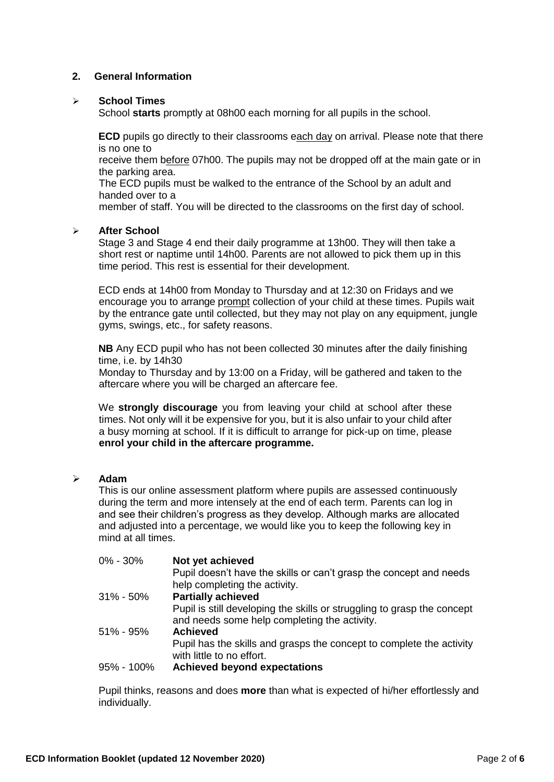#### **2. General Information**

#### **School Times**

School **starts** promptly at 08h00 each morning for all pupils in the school.

**ECD** pupils go directly to their classrooms each day on arrival. Please note that there is no one to

receive them before 07h00. The pupils may not be dropped off at the main gate or in the parking area.

The ECD pupils must be walked to the entrance of the School by an adult and handed over to a

member of staff. You will be directed to the classrooms on the first day of school.

#### **After School**

Stage 3 and Stage 4 end their daily programme at 13h00. They will then take a short rest or naptime until 14h00. Parents are not allowed to pick them up in this time period. This rest is essential for their development.

ECD ends at 14h00 from Monday to Thursday and at 12:30 on Fridays and we encourage you to arrange prompt collection of your child at these times. Pupils wait by the entrance gate until collected, but they may not play on any equipment, jungle gyms, swings, etc., for safety reasons.

**NB** Any ECD pupil who has not been collected 30 minutes after the daily finishing time, i.e. by 14h30

Monday to Thursday and by 13:00 on a Friday, will be gathered and taken to the aftercare where you will be charged an aftercare fee.

We **strongly discourage** you from leaving your child at school after these times. Not only will it be expensive for you, but it is also unfair to your child after a busy morning at school. If it is difficult to arrange for pick-up on time, please **enrol your child in the aftercare programme.**

#### **Adam**

This is our online assessment platform where pupils are assessed continuously during the term and more intensely at the end of each term. Parents can log in and see their children's progress as they develop. Although marks are allocated and adjusted into a percentage, we would like you to keep the following key in mind at all times.

| 0% - 30%   | Not yet achieved                                                        |
|------------|-------------------------------------------------------------------------|
|            | Pupil doesn't have the skills or can't grasp the concept and needs      |
|            | help completing the activity.                                           |
| 31% - 50%  | <b>Partially achieved</b>                                               |
|            | Pupil is still developing the skills or struggling to grasp the concept |
|            | and needs some help completing the activity.                            |
| 51% - 95%  | <b>Achieved</b>                                                         |
|            | Pupil has the skills and grasps the concept to complete the activity    |
|            | with little to no effort.                                               |
| 95% - 100% | <b>Achieved beyond expectations</b>                                     |

Pupil thinks, reasons and does **more** than what is expected of hi/her effortlessly and individually.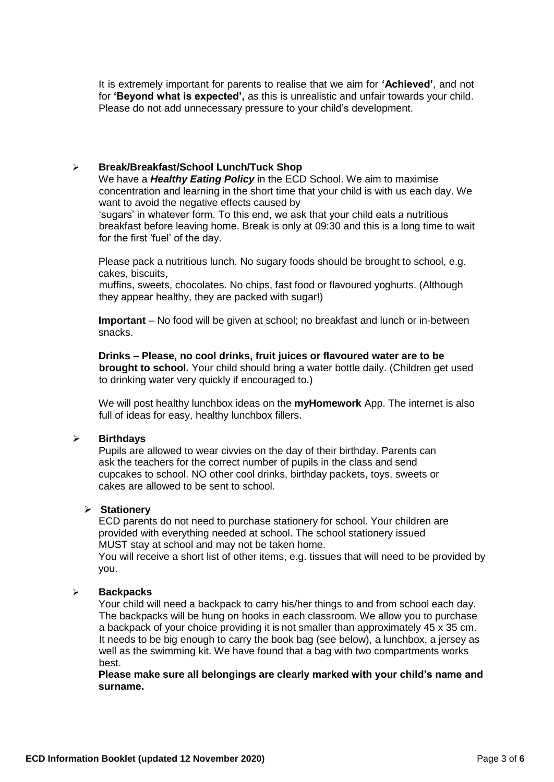It is extremely important for parents to realise that we aim for **'Achieved'**, and not for **'Beyond what is expected',** as this is unrealistic and unfair towards your child. Please do not add unnecessary pressure to your child's development.

#### **Break/Breakfast/School Lunch/Tuck Shop**

We have a *Healthy Eating Policy* in the ECD School. We aim to maximise concentration and learning in the short time that your child is with us each day. We want to avoid the negative effects caused by

'sugars' in whatever form. To this end, we ask that your child eats a nutritious breakfast before leaving home. Break is only at 09:30 and this is a long time to wait for the first 'fuel' of the day.

Please pack a nutritious lunch. No sugary foods should be brought to school, e.g. cakes, biscuits,

muffins, sweets, chocolates. No chips, fast food or flavoured yoghurts. (Although they appear healthy, they are packed with sugar!)

**Important** – No food will be given at school; no breakfast and lunch or in-between snacks.

**Drinks – Please, no cool drinks, fruit juices or flavoured water are to be brought to school.** Your child should bring a water bottle daily. (Children get used to drinking water very quickly if encouraged to.)

We will post healthy lunchbox ideas on the **myHomework** App. The internet is also full of ideas for easy, healthy lunchbox fillers.

#### **Birthdays**

Pupils are allowed to wear civvies on the day of their birthday. Parents can ask the teachers for the correct number of pupils in the class and send cupcakes to school. NO other cool drinks, birthday packets, toys, sweets or cakes are allowed to be sent to school.

#### **Stationery**

ECD parents do not need to purchase stationery for school. Your children are provided with everything needed at school. The school stationery issued MUST stay at school and may not be taken home.

You will receive a short list of other items, e.g. tissues that will need to be provided by you.

#### **Backpacks**

Your child will need a backpack to carry his/her things to and from school each day. The backpacks will be hung on hooks in each classroom. We allow you to purchase a backpack of your choice providing it is not smaller than approximately 45 x 35 cm. It needs to be big enough to carry the book bag (see below), a lunchbox, a jersey as well as the swimming kit. We have found that a bag with two compartments works best.

**Please make sure all belongings are clearly marked with your child's name and surname.**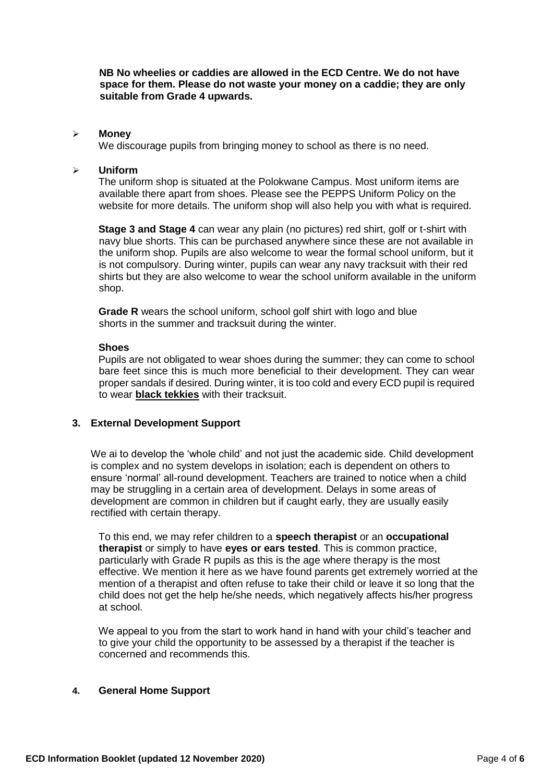**NB No wheelies or caddies are allowed in the ECD Centre. We do not have space for them. Please do not waste your money on a caddie; they are only suitable from Grade 4 upwards.**

#### **Money**

We discourage pupils from bringing money to school as there is no need.

#### **Uniform**

The uniform shop is situated at the Polokwane Campus. Most uniform items are available there apart from shoes. Please see the PEPPS Uniform Policy on the website for more details. The uniform shop will also help you with what is required.

**Stage 3 and Stage 4** can wear any plain (no pictures) red shirt, golf or t-shirt with navy blue shorts. This can be purchased anywhere since these are not available in the uniform shop. Pupils are also welcome to wear the formal school uniform, but it is not compulsory. During winter, pupils can wear any navy tracksuit with their red shirts but they are also welcome to wear the school uniform available in the uniform shop.

**Grade R** wears the school uniform, school golf shirt with logo and blue shorts in the summer and tracksuit during the winter.

#### **Shoes**

Pupils are not obligated to wear shoes during the summer; they can come to school bare feet since this is much more beneficial to their development. They can wear proper sandals if desired. During winter, it is too cold and every ECD pupil is required to wear **black tekkies** with their tracksuit.

#### **3. External Development Support**

We ai to develop the 'whole child' and not just the academic side. Child development is complex and no system develops in isolation; each is dependent on others to ensure 'normal' all-round development. Teachers are trained to notice when a child may be struggling in a certain area of development. Delays in some areas of development are common in children but if caught early, they are usually easily rectified with certain therapy.

To this end, we may refer children to a **speech therapist** or an **occupational therapist** or simply to have **eyes or ears tested**. This is common practice, particularly with Grade R pupils as this is the age where therapy is the most effective. We mention it here as we have found parents get extremely worried at the mention of a therapist and often refuse to take their child or leave it so long that the child does not get the help he/she needs, which negatively affects his/her progress at school.

We appeal to you from the start to work hand in hand with your child's teacher and to give your child the opportunity to be assessed by a therapist if the teacher is concerned and recommends this.

#### **4. General Home Support**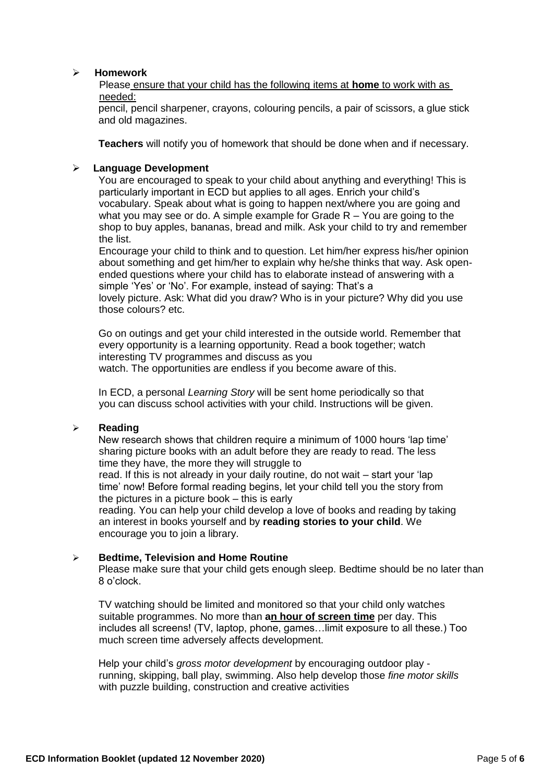#### **Homework**

Please ensure that your child has the following items at **home** to work with as needed:

pencil, pencil sharpener, crayons, colouring pencils, a pair of scissors, a glue stick and old magazines.

**Teachers** will notify you of homework that should be done when and if necessary.

#### **Language Development**

You are encouraged to speak to your child about anything and everything! This is particularly important in ECD but applies to all ages. Enrich your child's vocabulary. Speak about what is going to happen next/where you are going and what you may see or do. A simple example for Grade  $R - You$  are going to the shop to buy apples, bananas, bread and milk. Ask your child to try and remember the list.

Encourage your child to think and to question. Let him/her express his/her opinion about something and get him/her to explain why he/she thinks that way. Ask openended questions where your child has to elaborate instead of answering with a simple 'Yes' or 'No'. For example, instead of saying: That's a lovely picture. Ask: What did you draw? Who is in your picture? Why did you use those colours? etc.

Go on outings and get your child interested in the outside world. Remember that every opportunity is a learning opportunity. Read a book together; watch interesting TV programmes and discuss as you watch. The opportunities are endless if you become aware of this.

In ECD, a personal *Learning Story* will be sent home periodically so that you can discuss school activities with your child. Instructions will be given.

#### **Reading**

New research shows that children require a minimum of 1000 hours 'lap time' sharing picture books with an adult before they are ready to read. The less time they have, the more they will struggle to

read. If this is not already in your daily routine, do not wait – start your 'lap time' now! Before formal reading begins, let your child tell you the story from the pictures in a picture book – this is early

reading. You can help your child develop a love of books and reading by taking an interest in books yourself and by **reading stories to your child**. We encourage you to join a library.

#### **Bedtime, Television and Home Routine**

Please make sure that your child gets enough sleep. Bedtime should be no later than 8 o'clock.

TV watching should be limited and monitored so that your child only watches suitable programmes. No more than **an hour of screen time** per day. This includes all screens! (TV, laptop, phone, games…limit exposure to all these.) Too much screen time adversely affects development.

Help your child's *gross motor development* by encouraging outdoor play running, skipping, ball play, swimming. Also help develop those *fine motor skills*  with puzzle building, construction and creative activities